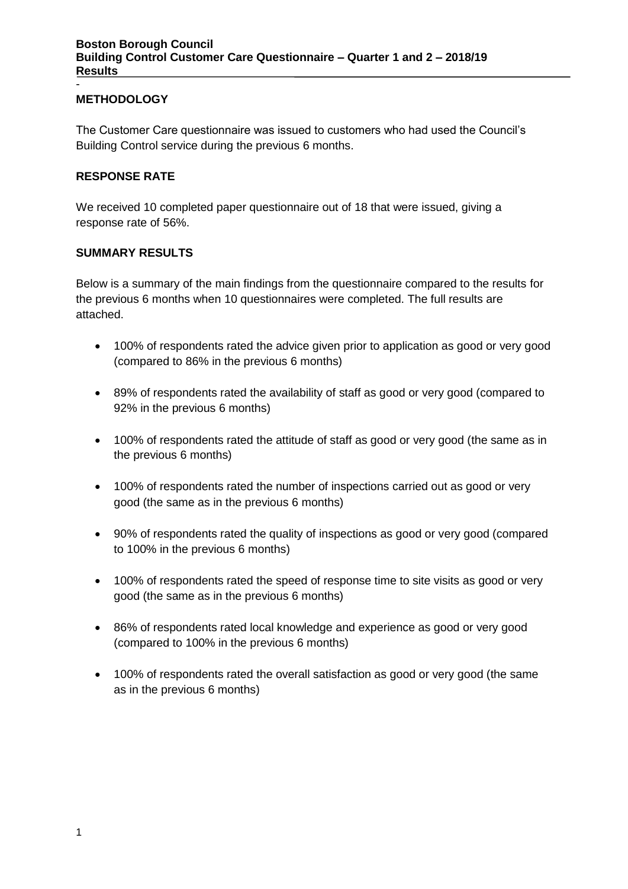#### **METHODOLOGY**

-

The Customer Care questionnaire was issued to customers who had used the Council's Building Control service during the previous 6 months.

#### **RESPONSE RATE**

We received 10 completed paper questionnaire out of 18 that were issued, giving a response rate of 56%.

#### **SUMMARY RESULTS**

Below is a summary of the main findings from the questionnaire compared to the results for the previous 6 months when 10 questionnaires were completed. The full results are attached.

- 100% of respondents rated the advice given prior to application as good or very good (compared to 86% in the previous 6 months)
- 89% of respondents rated the availability of staff as good or very good (compared to 92% in the previous 6 months)
- 100% of respondents rated the attitude of staff as good or very good (the same as in the previous 6 months)
- 100% of respondents rated the number of inspections carried out as good or very good (the same as in the previous 6 months)
- 90% of respondents rated the quality of inspections as good or very good (compared to 100% in the previous 6 months)
- 100% of respondents rated the speed of response time to site visits as good or very good (the same as in the previous 6 months)
- 86% of respondents rated local knowledge and experience as good or very good (compared to 100% in the previous 6 months)
- 100% of respondents rated the overall satisfaction as good or very good (the same as in the previous 6 months)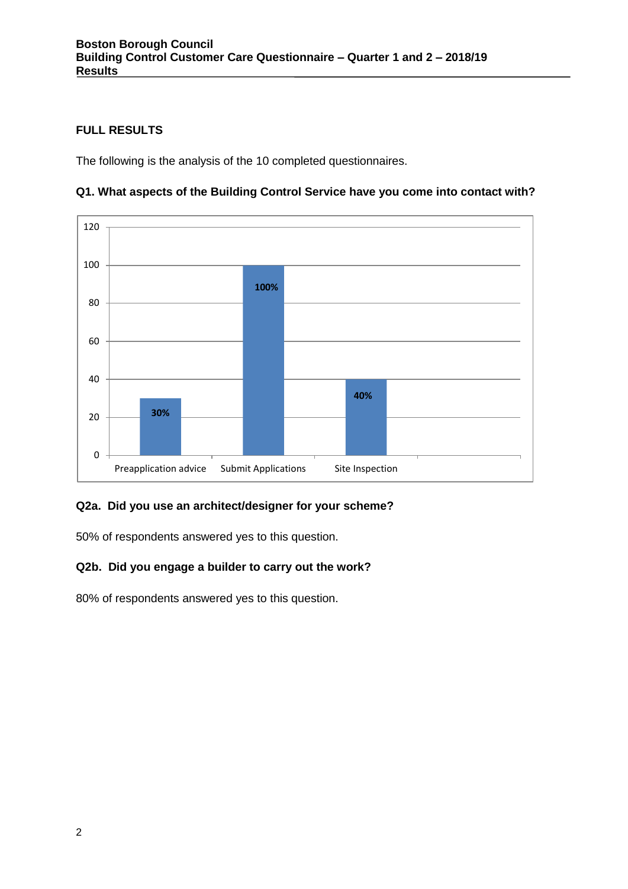# **FULL RESULTS**

The following is the analysis of the 10 completed questionnaires.





## **Q2a. Did you use an architect/designer for your scheme?**

50% of respondents answered yes to this question.

## **Q2b. Did you engage a builder to carry out the work?**

80% of respondents answered yes to this question.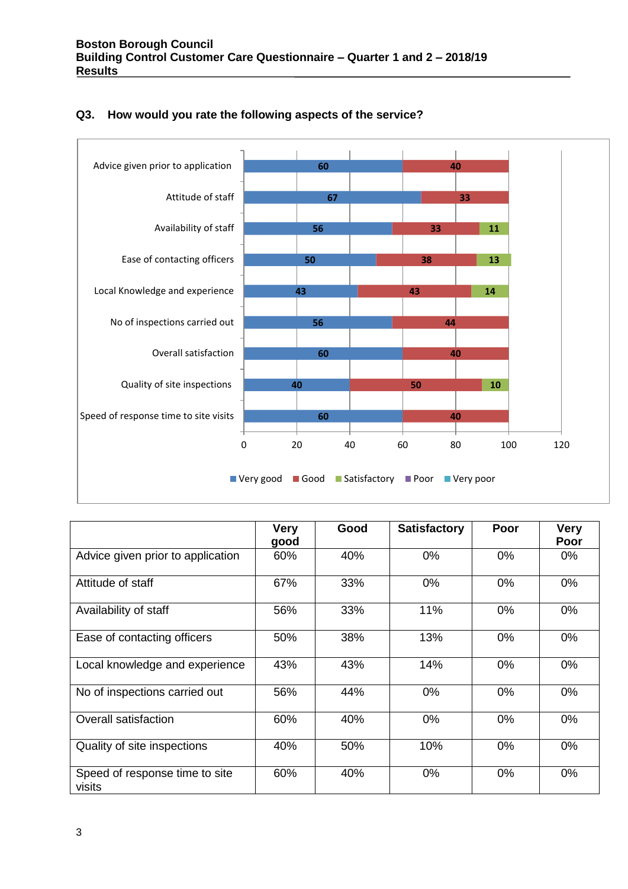

## **Q3. How would you rate the following aspects of the service?**

|                                          | <b>Very</b><br>good | Good | <b>Satisfactory</b> | Poor  | <b>Very</b><br>Poor |
|------------------------------------------|---------------------|------|---------------------|-------|---------------------|
| Advice given prior to application        | 60%                 | 40%  | 0%                  | 0%    | $0\%$               |
| Attitude of staff                        | 67%                 | 33%  | 0%                  | $0\%$ | 0%                  |
| Availability of staff                    | 56%                 | 33%  | 11%                 | $0\%$ | 0%                  |
| Ease of contacting officers              | 50%                 | 38%  | 13%                 | $0\%$ | 0%                  |
| Local knowledge and experience           | 43%                 | 43%  | 14%                 | 0%    | 0%                  |
| No of inspections carried out            | 56%                 | 44%  | 0%                  | 0%    | 0%                  |
| Overall satisfaction                     | 60%                 | 40%  | 0%                  | 0%    | 0%                  |
| Quality of site inspections              | 40%                 | 50%  | 10%                 | 0%    | 0%                  |
| Speed of response time to site<br>visits | 60%                 | 40%  | $0\%$               | 0%    | 0%                  |